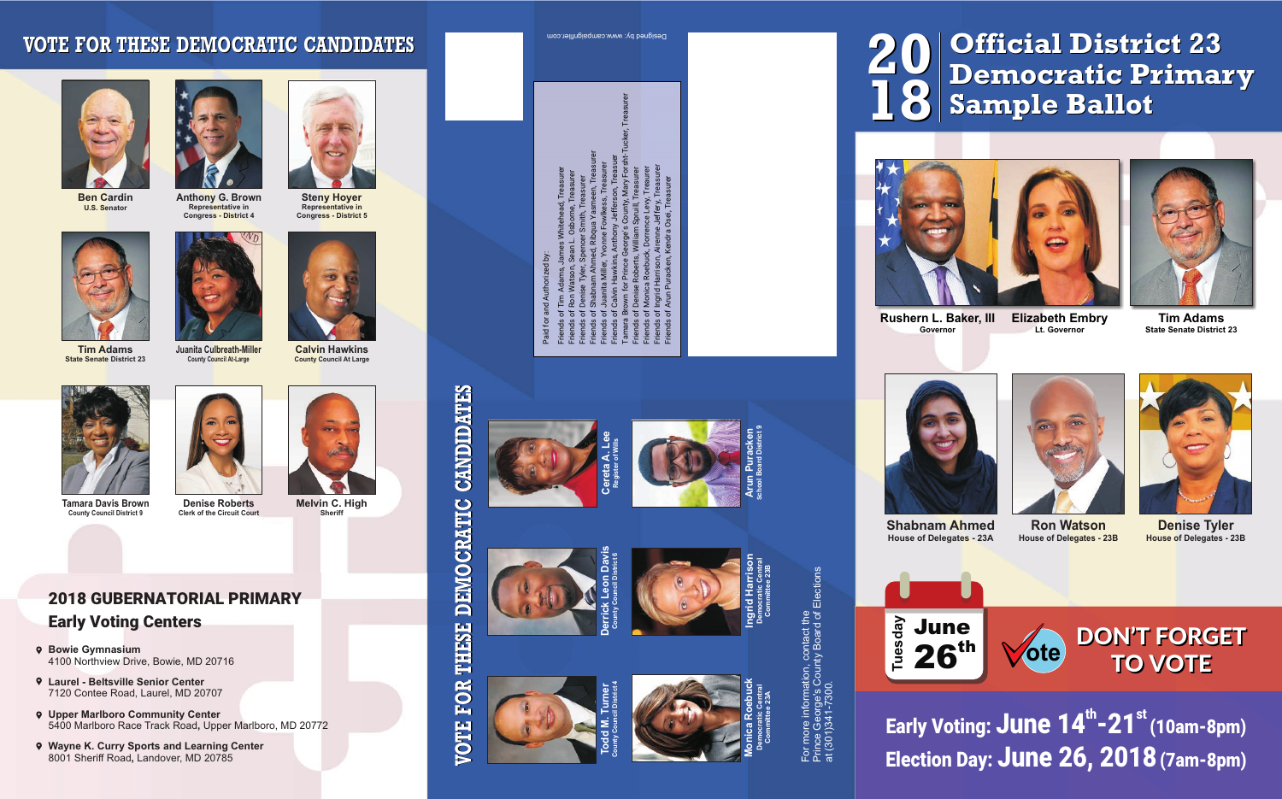**th st Early Voting: June 14 -21 (10am-8pm) Election Day: June 26, 2018(7am-8pm)**

**DON'T FORGET TO VOTE ote**





## **Official District 23 Democratic Primary Sample Ballot**



**20**

**18**









**Calvin Hawkins County Council At Large**

**Melvin C. High Sheriff**



**Anthony G. Brown Representative in Congress - District 4**



**Steny Hoyer Representative in Congress - District 5**



**Ben Cardin U.S. Senator**

- **Bowie Gymnasium** 4100 Northview Drive, Bowie, MD 20716
- **Laurel Beltsville Senior Center** 7120 Contee Road, Laurel, MD 20707
- **Upper Marlboro Community Center**  5400 Marlboro Race Track Road**,** Upper Marlboro, MD 20772
- **Wayne K. Curry Sports and Learning Center** 8001 Sheriff Road**,** Landover, MD 20785

## **2018 GUBERNATORIAL PRIMARY Early Voting Centers**

## **VOTE FOR THESE DEMOCRATIC CANDIDATES**

**Juanita Culbreath-Miller County Council At-Large**



**State Senate District 23**



**Denise Roberts Clerk of the Circuit Court**



**Tamara Davis Brown County Council District 9** 



**Shabnam Ahmed House of Delegates - 23A**



**Ron Watson House of Delegates - 23B** 



**Denise Tyler House of Delegates - 23B** 





**Rushern L. Baker, III Governor**

**Elizabeth Embry Lt. Governor**



**Tim Adams State Senate District 23**



e

**THESE** 

FOR

**SIIO** 



**Ingrid Harrison Democratic Central Committee 23B**





Prince George's County Board of Elections For more information, contact the<br>Prince George's County Board of Elections<br>at (301)341-7300. For more information, contact the at (301)341-7300.









**Derrick Leon Davis County Council District 6**

**Cereta A. Lee Register of Wills**

> **Todd M. Turner County Council District 4**



Designed by: www.campaignflier.com

Paid for and Authorized by:<br>Friends of Tim Adams, James Whitehead, Treasurer<br>Friends of Ron Watson, Sean L. Osborne, Treasurer<br>Friends of Sonise Tyler, Spencer Smith, Treasurer<br>Friends of Shabnam Ahmed, Ribqua Yasmen, Trea